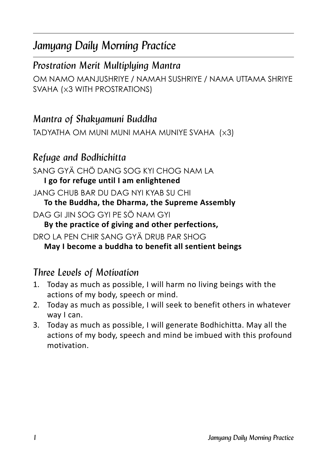# *Jamyang Daily Morning Practice*

## *Prostration Merit Multiplying Mantra*

OM NAMO MANJUSHRIYE / NAMAH SUSHRIYE / NAMA UTTAMA SHRIYE SVAHA (x3 WITH PROSTRATIONS)

### *Mantra of Shakyamuni Buddha*

TADYATHA OM MUNI MUNI MAHA MUNIYE SVAHA (⨉3)

## *Refuge and Bodhichitta*

SANG GYÄ CHÖ DANG SOG KYI CHOG NAM LA **I go for refuge until I am enlightened**  JANG CHUB BAR DU DAG NYI KYAB SU CHI **To the Buddha, the Dharma, the Supreme Assembly** DAG GI JIN SOG GYI PE SÖ NAM GYI **By the practice of giving and other perfections,**

DRO LA PEN CHIR SANG GYÄ DRUB PAR SHOG

**May I become a buddha to benefit all sentient beings**

#### *Three Levels of Motivation*

- 1. Today as much as possible, I will harm no living beings with the actions of my body, speech or mind.
- 2. Today as much as possible, I will seek to benefit others in whatever way I can.
- 3. Today as much as possible, I will generate Bodhichitta. May all the actions of my body, speech and mind be imbued with this profound motivation.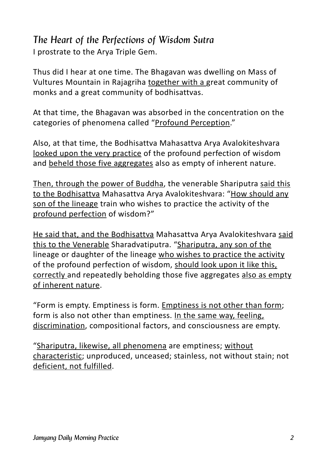# *The Heart of the Perfections of Wisdom Sutra*

I prostrate to the Arya Triple Gem.

Thus did I hear at one time. The Bhagavan was dwelling on Mass of Vultures Mountain in Rajagriha together with a great community of monks and a great community of bodhisattvas.

At that time, the Bhagavan was absorbed in the concentration on the categories of phenomena called "Profound Perception."

Also, at that time, the Bodhisattva Mahasattva Arya Avalokiteshvara looked upon the very practice of the profound perfection of wisdom and beheld those five aggregates also as empty of inherent nature.

Then, through the power of Buddha, the venerable Shariputra said this to the Bodhisattva Mahasattva Arya Avalokiteshvara: "How should any son of the lineage train who wishes to practice the activity of the profound perfection of wisdom?"

He said that, and the Bodhisattva Mahasattva Arya Avalokiteshvara said this to the Venerable Sharadvatiputra. "Shariputra, any son of the lineage or daughter of the lineage who wishes to practice the activity of the profound perfection of wisdom, should look upon it like this, correctly and repeatedly beholding those five aggregates also as empty of inherent nature.

"Form is empty. Emptiness is form. Emptiness is not other than form; form is also not other than emptiness. In the same way, feeling, discrimination, compositional factors, and consciousness are empty.

"Shariputra, likewise, all phenomena are emptiness; without characteristic; unproduced, unceased; stainless, not without stain; not deficient, not fulfilled.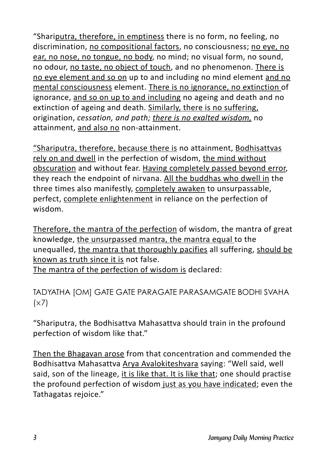"Shariputra, therefore, in emptiness there is no form, no feeling, no discrimination, no compositional factors, no consciousness; no eye, no ear, no nose, no tongue, no body, no mind; no visual form, no sound, no odour, no taste, no object of touch, and no phenomenon. There is no eye element and so on up to and including no mind element and no mental consciousness element. There is no ignorance, no extinction of ignorance, and so on up to and including no ageing and death and no extinction of ageing and death. Similarly, there is no suffering, origination, *cessation, and path; there is no exalted wisdom,* no attainment, and also no non-attainment.

"Shariputra, therefore, because there is no attainment, Bodhisattvas rely on and dwell in the perfection of wisdom, the mind without obscuration and without fear. Having completely passed beyond error, they reach the endpoint of nirvana. All the buddhas who dwell in the three times also manifestly, completely awaken to unsurpassable, perfect, complete enlightenment in reliance on the perfection of wisdom.

Therefore, the mantra of the perfection of wisdom, the mantra of great knowledge, the unsurpassed mantra, the mantra equal to the unequalled, the mantra that thoroughly pacifies all suffering, should be known as truth since it is not false.

The mantra of the perfection of wisdom is declared:

TADYATHA [OM] GATE GATE PARAGATE PARASAMGATE BODHI SVAHA  $(x7)$ 

"Shariputra, the Bodhisattva Mahasattva should train in the profound perfection of wisdom like that."

Then the Bhagavan arose from that concentration and commended the Bodhisattva Mahasattva Arya Avalokiteshvara saying: "Well said, well said, son of the lineage, it is like that. It is like that; one should practise the profound perfection of wisdom just as you have indicated; even the Tathagatas rejoice."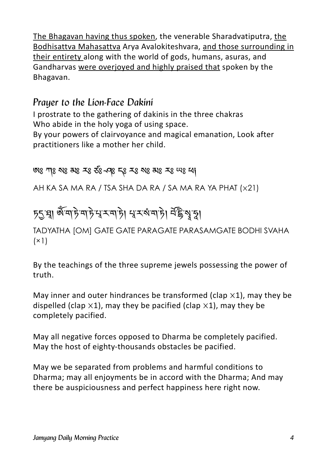The Bhagavan having thus spoken, the venerable Sharadvatiputra, the Bodhisattva Mahasattva Arya Avalokiteshvara, and those surrounding in their entirety along with the world of gods, humans, asuras, and Gandharvas were overjoyed and highly praised that spoken by the Bhagavan.

## *Prayer to the Lion-Face Dakini*

I prostrate to the gathering of dakinis in the three chakras Who abide in the holy yoga of using space. By your powers of clairvoyance and magical emanation, Look after practitioners like a mother her child.

### জঃ শঃ মঃ মঃ হঃ র্স্কঃ বঃ হঃ মঃ মঃ হঃ ਘঃ ধা

AH KA SA MA RA / TSA SHA DA RA / SA MA RA YA PHAT (x21)

# চূড়া জুঁনাটুনাটুমুম্বাট়। মুম্খনাট়। মুট্টুম্বুদ্বা

TADYATHA [OM] GATE GATE PARAGATE PARASAMGATE BODHI SVAHA (×1)

By the teachings of the three supreme jewels possessing the power of truth.

May inner and outer hindrances be transformed (clap  $\times$ 1), may they be dispelled (clap  $\times$ 1), may they be pacified (clap  $\times$ 1), may they be completely pacified.

May all negative forces opposed to Dharma be completely pacified. May the host of eighty-thousands obstacles be pacified.

May we be separated from problems and harmful conditions to Dharma; may all enjoyments be in accord with the Dharma; And may there be auspiciousness and perfect happiness here right now.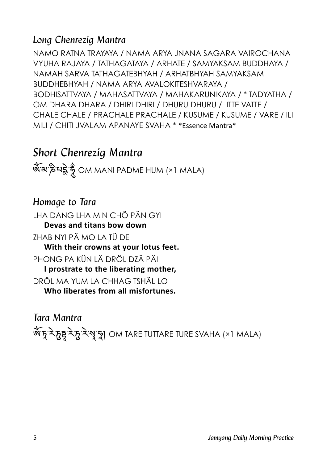## *Long Chenrezig Mantra*

NAMO RATNA TRAYAYA / NAMA ARYA JNANA SAGARA VAIROCHANA VYUHA RAJAYA / TATHAGATAYA / ARHATE / SAMYAKSAM BUDDHAYA / NAMAH SARVA TATHAGATEBHYAH / ARHATBHYAH SAMYAKSAM BUDDHEBHYAH / NAMA ARYA AVALOKITESHVARAYA / BODHISATTVAYA / MAHASATTVAYA / MAHAKARUNIKAYA / \* TADYATHA / OM DHARA DHARA / DHIRI DHIRI / DHURU DHURU / ITTE VATTE / CHALE CHALE / PRACHALE PRACHALE / KUSUME / KUSUME / VARE / ILI MILI / CHITI JVALAM APANAYE SVAHA \* \*Essence Mantra\*

# *Short Chenrezig Mantra*

জঁৰাষ্টশহ্নাষ্ট্ৰ OM MANI PADME HUM (×1 MALA)

### *Homage to Tara*

LHA DANG LHA MIN CHÖ PÄN GYI **Devas and titans bow down**  ZHAB NYI PÄ MO LA TÜ DE **With their crowns at your lotus feet.**  PHONG PA KÜN LÄ DRÖL DZÄ PÄI **I prostrate to the liberating mother,**  DRÖL MA YUM LA CHHAG TSHÄL LO **Who liberates from all misfortunes.** 

*Tara Mantra* জঁদু ব্রাষ্ট্র ব্রাষ্ট্রা OM TARE TUTTARE TURE SVAHA (×1 MALA)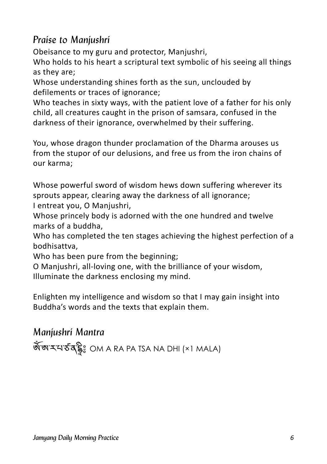### *Praise to Manjushri*

Obeisance to my guru and protector, Manjushri,

Who holds to his heart a scriptural text symbolic of his seeing all things as they are;

Whose understanding shines forth as the sun, unclouded by defilements or traces of ignorance;

Who teaches in sixty ways, with the patient love of a father for his only child, all creatures caught in the prison of samsara, confused in the darkness of their ignorance, overwhelmed by their suffering.

You, whose dragon thunder proclamation of the Dharma arouses us from the stupor of our delusions, and free us from the iron chains of our karma;

Whose powerful sword of wisdom hews down suffering wherever its sprouts appear, clearing away the darkness of all ignorance; I entreat you, O Manjushri,

Whose princely body is adorned with the one hundred and twelve marks of a buddha,

Who has completed the ten stages achieving the highest perfection of a bodhisattva,

Who has been pure from the beginning;

O Manjushri, all-loving one, with the brilliance of your wisdom, Illuminate the darkness enclosing my mind.

Enlighten my intelligence and wisdom so that I may gain insight into Buddha's words and the texts that explain them.

## *Manjushri Mantra*

জঁজ হার্মস্ট বৃষ্ণী $\mathcal{S}^{\infty}_{\mathcal{S}}$  and a raight and DHI (×1 mala)